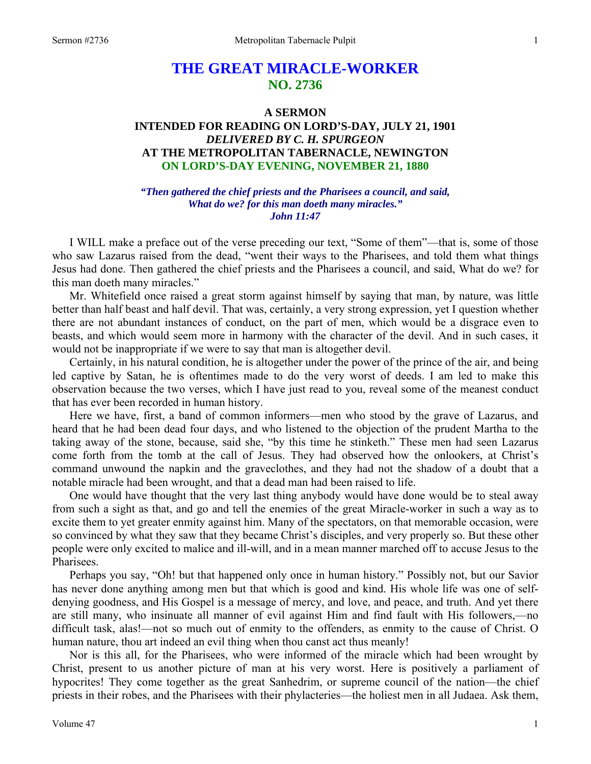# **THE GREAT MIRACLE-WORKER NO. 2736**

## **A SERMON INTENDED FOR READING ON LORD'S-DAY, JULY 21, 1901**  *DELIVERED BY C. H. SPURGEON*  **AT THE METROPOLITAN TABERNACLE, NEWINGTON ON LORD'S-DAY EVENING, NOVEMBER 21, 1880**

*"Then gathered the chief priests and the Pharisees a council, and said, What do we? for this man doeth many miracles." John 11:47* 

I WILL make a preface out of the verse preceding our text, "Some of them"—that is, some of those who saw Lazarus raised from the dead, "went their ways to the Pharisees, and told them what things Jesus had done. Then gathered the chief priests and the Pharisees a council, and said, What do we? for this man doeth many miracles."

Mr. Whitefield once raised a great storm against himself by saying that man, by nature, was little better than half beast and half devil. That was, certainly, a very strong expression, yet I question whether there are not abundant instances of conduct, on the part of men, which would be a disgrace even to beasts, and which would seem more in harmony with the character of the devil. And in such cases, it would not be inappropriate if we were to say that man is altogether devil.

Certainly, in his natural condition, he is altogether under the power of the prince of the air, and being led captive by Satan, he is oftentimes made to do the very worst of deeds. I am led to make this observation because the two verses, which I have just read to you, reveal some of the meanest conduct that has ever been recorded in human history.

Here we have, first, a band of common informers—men who stood by the grave of Lazarus, and heard that he had been dead four days, and who listened to the objection of the prudent Martha to the taking away of the stone, because, said she, "by this time he stinketh." These men had seen Lazarus come forth from the tomb at the call of Jesus. They had observed how the onlookers, at Christ's command unwound the napkin and the graveclothes, and they had not the shadow of a doubt that a notable miracle had been wrought, and that a dead man had been raised to life.

One would have thought that the very last thing anybody would have done would be to steal away from such a sight as that, and go and tell the enemies of the great Miracle-worker in such a way as to excite them to yet greater enmity against him. Many of the spectators, on that memorable occasion, were so convinced by what they saw that they became Christ's disciples, and very properly so. But these other people were only excited to malice and ill-will, and in a mean manner marched off to accuse Jesus to the Pharisees.

Perhaps you say, "Oh! but that happened only once in human history." Possibly not, but our Savior has never done anything among men but that which is good and kind. His whole life was one of selfdenying goodness, and His Gospel is a message of mercy, and love, and peace, and truth. And yet there are still many, who insinuate all manner of evil against Him and find fault with His followers,—no difficult task, alas!—not so much out of enmity to the offenders, as enmity to the cause of Christ. O human nature, thou art indeed an evil thing when thou canst act thus meanly!

Nor is this all, for the Pharisees, who were informed of the miracle which had been wrought by Christ, present to us another picture of man at his very worst. Here is positively a parliament of hypocrites! They come together as the great Sanhedrim, or supreme council of the nation—the chief priests in their robes, and the Pharisees with their phylacteries—the holiest men in all Judaea. Ask them,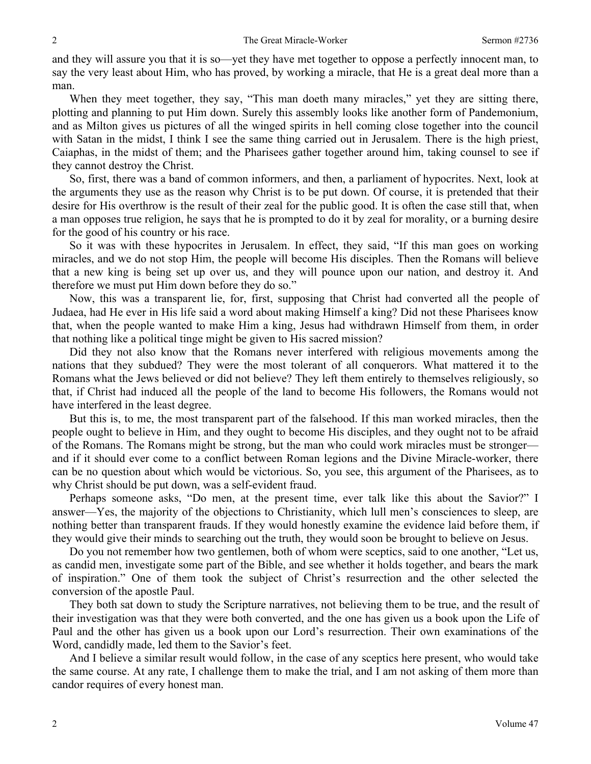and they will assure you that it is so—yet they have met together to oppose a perfectly innocent man, to say the very least about Him, who has proved, by working a miracle, that He is a great deal more than a man.

When they meet together, they say, "This man doeth many miracles," yet they are sitting there, plotting and planning to put Him down. Surely this assembly looks like another form of Pandemonium, and as Milton gives us pictures of all the winged spirits in hell coming close together into the council with Satan in the midst, I think I see the same thing carried out in Jerusalem. There is the high priest, Caiaphas, in the midst of them; and the Pharisees gather together around him, taking counsel to see if they cannot destroy the Christ.

So, first, there was a band of common informers, and then, a parliament of hypocrites. Next, look at the arguments they use as the reason why Christ is to be put down. Of course, it is pretended that their desire for His overthrow is the result of their zeal for the public good. It is often the case still that, when a man opposes true religion, he says that he is prompted to do it by zeal for morality, or a burning desire for the good of his country or his race.

So it was with these hypocrites in Jerusalem. In effect, they said, "If this man goes on working miracles, and we do not stop Him, the people will become His disciples. Then the Romans will believe that a new king is being set up over us, and they will pounce upon our nation, and destroy it. And therefore we must put Him down before they do so."

Now, this was a transparent lie, for, first, supposing that Christ had converted all the people of Judaea, had He ever in His life said a word about making Himself a king? Did not these Pharisees know that, when the people wanted to make Him a king, Jesus had withdrawn Himself from them, in order that nothing like a political tinge might be given to His sacred mission?

Did they not also know that the Romans never interfered with religious movements among the nations that they subdued? They were the most tolerant of all conquerors. What mattered it to the Romans what the Jews believed or did not believe? They left them entirely to themselves religiously, so that, if Christ had induced all the people of the land to become His followers, the Romans would not have interfered in the least degree.

But this is, to me, the most transparent part of the falsehood. If this man worked miracles, then the people ought to believe in Him, and they ought to become His disciples, and they ought not to be afraid of the Romans. The Romans might be strong, but the man who could work miracles must be stronger and if it should ever come to a conflict between Roman legions and the Divine Miracle-worker, there can be no question about which would be victorious. So, you see, this argument of the Pharisees, as to why Christ should be put down, was a self-evident fraud.

Perhaps someone asks, "Do men, at the present time, ever talk like this about the Savior?" I answer—Yes, the majority of the objections to Christianity, which lull men's consciences to sleep, are nothing better than transparent frauds. If they would honestly examine the evidence laid before them, if they would give their minds to searching out the truth, they would soon be brought to believe on Jesus.

Do you not remember how two gentlemen, both of whom were sceptics, said to one another, "Let us, as candid men, investigate some part of the Bible, and see whether it holds together, and bears the mark of inspiration." One of them took the subject of Christ's resurrection and the other selected the conversion of the apostle Paul.

They both sat down to study the Scripture narratives, not believing them to be true, and the result of their investigation was that they were both converted, and the one has given us a book upon the Life of Paul and the other has given us a book upon our Lord's resurrection. Their own examinations of the Word, candidly made, led them to the Savior's feet.

And I believe a similar result would follow, in the case of any sceptics here present, who would take the same course. At any rate, I challenge them to make the trial, and I am not asking of them more than candor requires of every honest man.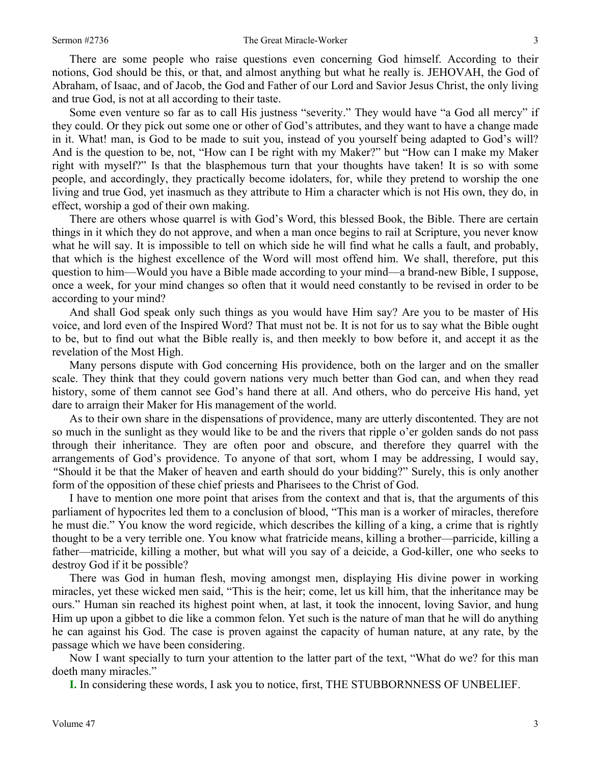There are some people who raise questions even concerning God himself. According to their notions, God should be this, or that, and almost anything but what he really is. JEHOVAH, the God of Abraham, of Isaac, and of Jacob, the God and Father of our Lord and Savior Jesus Christ, the only living and true God, is not at all according to their taste.

Some even venture so far as to call His justness "severity." They would have "a God all mercy" if they could. Or they pick out some one or other of God's attributes, and they want to have a change made in it. What! man, is God to be made to suit you, instead of you yourself being adapted to God's will? And is the question to be, not, "How can I be right with my Maker?" but "How can I make my Maker right with myself?" Is that the blasphemous turn that your thoughts have taken! It is so with some people, and accordingly, they practically become idolaters, for, while they pretend to worship the one living and true God, yet inasmuch as they attribute to Him a character which is not His own, they do, in effect, worship a god of their own making.

There are others whose quarrel is with God's Word, this blessed Book, the Bible. There are certain things in it which they do not approve, and when a man once begins to rail at Scripture, you never know what he will say. It is impossible to tell on which side he will find what he calls a fault, and probably, that which is the highest excellence of the Word will most offend him. We shall, therefore, put this question to him—Would you have a Bible made according to your mind—a brand-new Bible, I suppose, once a week, for your mind changes so often that it would need constantly to be revised in order to be according to your mind?

And shall God speak only such things as you would have Him say? Are you to be master of His voice, and lord even of the Inspired Word? That must not be. It is not for us to say what the Bible ought to be, but to find out what the Bible really is, and then meekly to bow before it, and accept it as the revelation of the Most High.

Many persons dispute with God concerning His providence, both on the larger and on the smaller scale. They think that they could govern nations very much better than God can, and when they read history, some of them cannot see God's hand there at all. And others, who do perceive His hand, yet dare to arraign their Maker for His management of the world.

As to their own share in the dispensations of providence, many are utterly discontented. They are not so much in the sunlight as they would like to be and the rivers that ripple o'er golden sands do not pass through their inheritance. They are often poor and obscure, and therefore they quarrel with the arrangements of God's providence. To anyone of that sort, whom I may be addressing, I would say, *"*Should it be that the Maker of heaven and earth should do your bidding?" Surely, this is only another form of the opposition of these chief priests and Pharisees to the Christ of God.

I have to mention one more point that arises from the context and that is, that the arguments of this parliament of hypocrites led them to a conclusion of blood, "This man is a worker of miracles, therefore he must die." You know the word regicide, which describes the killing of a king, a crime that is rightly thought to be a very terrible one. You know what fratricide means, killing a brother—parricide, killing a father—matricide, killing a mother, but what will you say of a deicide, a God-killer, one who seeks to destroy God if it be possible?

There was God in human flesh, moving amongst men, displaying His divine power in working miracles, yet these wicked men said, "This is the heir; come, let us kill him, that the inheritance may be ours." Human sin reached its highest point when, at last, it took the innocent, loving Savior, and hung Him up upon a gibbet to die like a common felon. Yet such is the nature of man that he will do anything he can against his God. The case is proven against the capacity of human nature, at any rate, by the passage which we have been considering.

Now I want specially to turn your attention to the latter part of the text, "What do we? for this man doeth many miracles."

**I.** In considering these words, I ask you to notice, first, THE STUBBORNNESS OF UNBELIEF.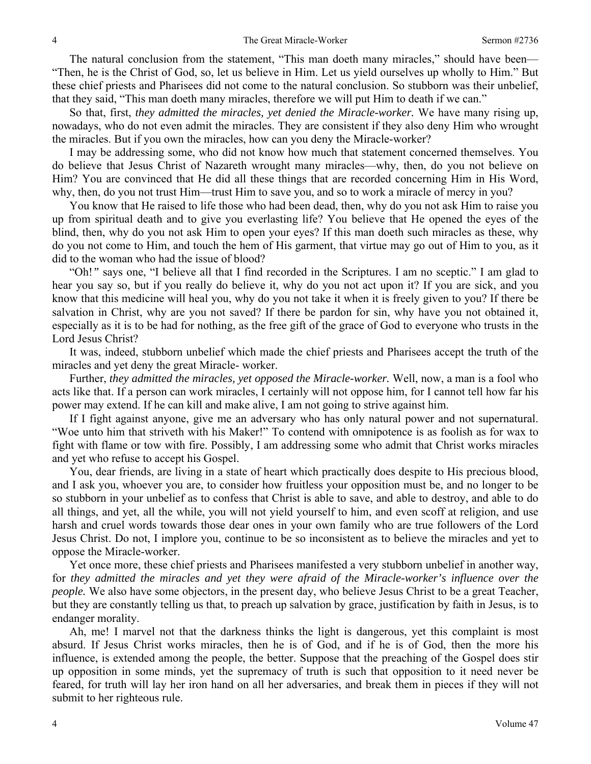The natural conclusion from the statement, "This man doeth many miracles," should have been— "Then, he is the Christ of God, so, let us believe in Him. Let us yield ourselves up wholly to Him." But these chief priests and Pharisees did not come to the natural conclusion. So stubborn was their unbelief, that they said, "This man doeth many miracles, therefore we will put Him to death if we can."

So that, first, *they admitted the miracles, yet denied the Miracle-worker.* We have many rising up, nowadays, who do not even admit the miracles. They are consistent if they also deny Him who wrought the miracles. But if you own the miracles, how can you deny the Miracle-worker?

I may be addressing some, who did not know how much that statement concerned themselves. You do believe that Jesus Christ of Nazareth wrought many miracles—why, then, do you not believe on Him? You are convinced that He did all these things that are recorded concerning Him in His Word, why, then, do you not trust Him—trust Him to save you, and so to work a miracle of mercy in you?

You know that He raised to life those who had been dead, then, why do you not ask Him to raise you up from spiritual death and to give you everlasting life? You believe that He opened the eyes of the blind, then, why do you not ask Him to open your eyes? If this man doeth such miracles as these, why do you not come to Him, and touch the hem of His garment, that virtue may go out of Him to you, as it did to the woman who had the issue of blood?

"Oh!*"* says one, "I believe all that I find recorded in the Scriptures. I am no sceptic." I am glad to hear you say so, but if you really do believe it, why do you not act upon it? If you are sick, and you know that this medicine will heal you, why do you not take it when it is freely given to you? If there be salvation in Christ, why are you not saved? If there be pardon for sin, why have you not obtained it, especially as it is to be had for nothing, as the free gift of the grace of God to everyone who trusts in the Lord Jesus Christ?

It was, indeed, stubborn unbelief which made the chief priests and Pharisees accept the truth of the miracles and yet deny the great Miracle- worker.

Further, *they admitted the miracles, yet opposed the Miracle-worker.* Well, now, a man is a fool who acts like that. If a person can work miracles, I certainly will not oppose him, for I cannot tell how far his power may extend. If he can kill and make alive, I am not going to strive against him.

If I fight against anyone, give me an adversary who has only natural power and not supernatural. "Woe unto him that striveth with his Maker!" To contend with omnipotence is as foolish as for wax to fight with flame or tow with fire. Possibly, I am addressing some who admit that Christ works miracles and yet who refuse to accept his Gospel.

You, dear friends, are living in a state of heart which practically does despite to His precious blood, and I ask you, whoever you are, to consider how fruitless your opposition must be, and no longer to be so stubborn in your unbelief as to confess that Christ is able to save, and able to destroy, and able to do all things, and yet, all the while, you will not yield yourself to him, and even scoff at religion, and use harsh and cruel words towards those dear ones in your own family who are true followers of the Lord Jesus Christ. Do not, I implore you, continue to be so inconsistent as to believe the miracles and yet to oppose the Miracle-worker.

Yet once more, these chief priests and Pharisees manifested a very stubborn unbelief in another way, for *they admitted the miracles and yet they were afraid of the Miracle-worker's influence over the people*. We also have some objectors, in the present day, who believe Jesus Christ to be a great Teacher, but they are constantly telling us that, to preach up salvation by grace, justification by faith in Jesus, is to endanger morality.

Ah, me! I marvel not that the darkness thinks the light is dangerous, yet this complaint is most absurd. If Jesus Christ works miracles, then he is of God, and if he is of God, then the more his influence, is extended among the people, the better. Suppose that the preaching of the Gospel does stir up opposition in some minds, yet the supremacy of truth is such that opposition to it need never be feared, for truth will lay her iron hand on all her adversaries, and break them in pieces if they will not submit to her righteous rule.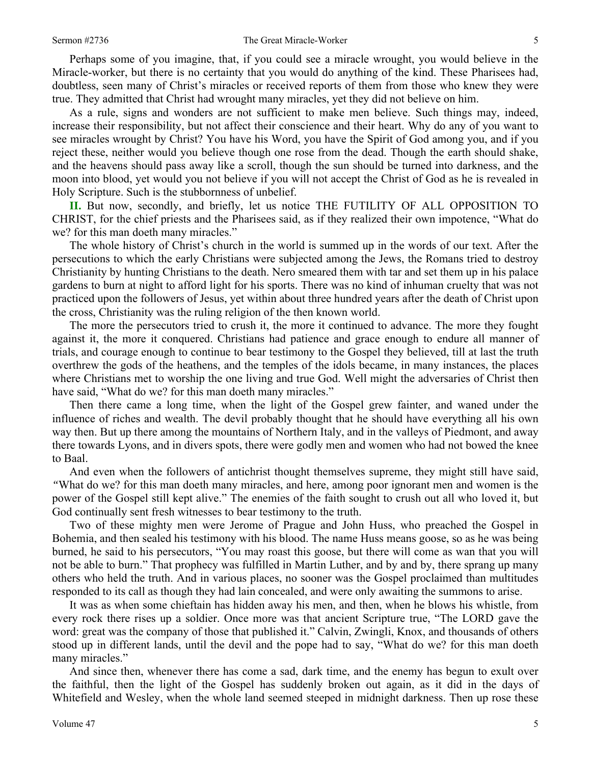#### Sermon #2736 **Sermon #2736** The Great Miracle-Worker 5

Perhaps some of you imagine, that, if you could see a miracle wrought, you would believe in the Miracle-worker, but there is no certainty that you would do anything of the kind. These Pharisees had, doubtless, seen many of Christ's miracles or received reports of them from those who knew they were true. They admitted that Christ had wrought many miracles, yet they did not believe on him.

As a rule, signs and wonders are not sufficient to make men believe. Such things may, indeed, increase their responsibility, but not affect their conscience and their heart. Why do any of you want to see miracles wrought by Christ? You have his Word, you have the Spirit of God among you, and if you reject these, neither would you believe though one rose from the dead. Though the earth should shake, and the heavens should pass away like a scroll, though the sun should be turned into darkness, and the moon into blood, yet would you not believe if you will not accept the Christ of God as he is revealed in Holy Scripture. Such is the stubbornness of unbelief.

**II.** But now, secondly, and briefly, let us notice THE FUTILITY OF ALL OPPOSITION TO CHRIST, for the chief priests and the Pharisees said, as if they realized their own impotence, "What do we? for this man doeth many miracles."

The whole history of Christ's church in the world is summed up in the words of our text. After the persecutions to which the early Christians were subjected among the Jews, the Romans tried to destroy Christianity by hunting Christians to the death. Nero smeared them with tar and set them up in his palace gardens to burn at night to afford light for his sports. There was no kind of inhuman cruelty that was not practiced upon the followers of Jesus, yet within about three hundred years after the death of Christ upon the cross, Christianity was the ruling religion of the then known world.

The more the persecutors tried to crush it, the more it continued to advance. The more they fought against it, the more it conquered. Christians had patience and grace enough to endure all manner of trials, and courage enough to continue to bear testimony to the Gospel they believed, till at last the truth overthrew the gods of the heathens, and the temples of the idols became, in many instances, the places where Christians met to worship the one living and true God. Well might the adversaries of Christ then have said, "What do we? for this man doeth many miracles."

Then there came a long time, when the light of the Gospel grew fainter, and waned under the influence of riches and wealth. The devil probably thought that he should have everything all his own way then. But up there among the mountains of Northern Italy, and in the valleys of Piedmont, and away there towards Lyons, and in divers spots, there were godly men and women who had not bowed the knee to Baal.

And even when the followers of antichrist thought themselves supreme, they might still have said, *"*What do we? for this man doeth many miracles, and here, among poor ignorant men and women is the power of the Gospel still kept alive." The enemies of the faith sought to crush out all who loved it, but God continually sent fresh witnesses to bear testimony to the truth.

Two of these mighty men were Jerome of Prague and John Huss, who preached the Gospel in Bohemia, and then sealed his testimony with his blood. The name Huss means goose, so as he was being burned, he said to his persecutors, "You may roast this goose, but there will come as wan that you will not be able to burn." That prophecy was fulfilled in Martin Luther, and by and by, there sprang up many others who held the truth. And in various places, no sooner was the Gospel proclaimed than multitudes responded to its call as though they had lain concealed, and were only awaiting the summons to arise.

It was as when some chieftain has hidden away his men, and then, when he blows his whistle, from every rock there rises up a soldier. Once more was that ancient Scripture true, "The LORD gave the word: great was the company of those that published it." Calvin, Zwingli, Knox, and thousands of others stood up in different lands, until the devil and the pope had to say, "What do we? for this man doeth many miracles."

And since then, whenever there has come a sad, dark time, and the enemy has begun to exult over the faithful, then the light of the Gospel has suddenly broken out again, as it did in the days of Whitefield and Wesley, when the whole land seemed steeped in midnight darkness. Then up rose these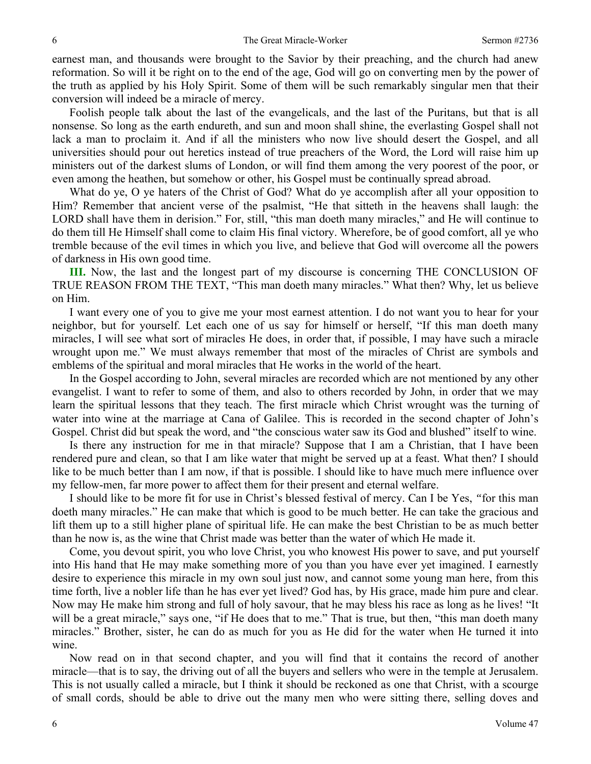earnest man, and thousands were brought to the Savior by their preaching, and the church had anew reformation. So will it be right on to the end of the age, God will go on converting men by the power of the truth as applied by his Holy Spirit. Some of them will be such remarkably singular men that their conversion will indeed be a miracle of mercy.

Foolish people talk about the last of the evangelicals, and the last of the Puritans, but that is all nonsense. So long as the earth endureth, and sun and moon shall shine, the everlasting Gospel shall not lack a man to proclaim it. And if all the ministers who now live should desert the Gospel, and all universities should pour out heretics instead of true preachers of the Word, the Lord will raise him up ministers out of the darkest slums of London, or will find them among the very poorest of the poor, or even among the heathen, but somehow or other, his Gospel must be continually spread abroad.

What do ye, O ye haters of the Christ of God? What do ye accomplish after all your opposition to Him? Remember that ancient verse of the psalmist, "He that sitteth in the heavens shall laugh: the LORD shall have them in derision." For, still, "this man doeth many miracles," and He will continue to do them till He Himself shall come to claim His final victory. Wherefore, be of good comfort, all ye who tremble because of the evil times in which you live, and believe that God will overcome all the powers of darkness in His own good time.

**III.** Now, the last and the longest part of my discourse is concerning THE CONCLUSION OF TRUE REASON FROM THE TEXT, "This man doeth many miracles." What then? Why, let us believe on Him.

I want every one of you to give me your most earnest attention. I do not want you to hear for your neighbor, but for yourself. Let each one of us say for himself or herself, "If this man doeth many miracles, I will see what sort of miracles He does, in order that, if possible, I may have such a miracle wrought upon me." We must always remember that most of the miracles of Christ are symbols and emblems of the spiritual and moral miracles that He works in the world of the heart.

In the Gospel according to John, several miracles are recorded which are not mentioned by any other evangelist. I want to refer to some of them, and also to others recorded by John, in order that we may learn the spiritual lessons that they teach. The first miracle which Christ wrought was the turning of water into wine at the marriage at Cana of Galilee. This is recorded in the second chapter of John's Gospel. Christ did but speak the word, and "the conscious water saw its God and blushed" itself to wine.

Is there any instruction for me in that miracle? Suppose that I am a Christian, that I have been rendered pure and clean, so that I am like water that might be served up at a feast. What then? I should like to be much better than I am now, if that is possible. I should like to have much mere influence over my fellow-men, far more power to affect them for their present and eternal welfare.

I should like to be more fit for use in Christ's blessed festival of mercy. Can I be Yes, *"*for this man doeth many miracles." He can make that which is good to be much better. He can take the gracious and lift them up to a still higher plane of spiritual life. He can make the best Christian to be as much better than he now is, as the wine that Christ made was better than the water of which He made it.

Come, you devout spirit, you who love Christ, you who knowest His power to save, and put yourself into His hand that He may make something more of you than you have ever yet imagined. I earnestly desire to experience this miracle in my own soul just now, and cannot some young man here, from this time forth, live a nobler life than he has ever yet lived? God has, by His grace, made him pure and clear. Now may He make him strong and full of holy savour, that he may bless his race as long as he lives! "It will be a great miracle," says one, "if He does that to me." That is true, but then, "this man doeth many miracles." Brother, sister, he can do as much for you as He did for the water when He turned it into wine.

Now read on in that second chapter, and you will find that it contains the record of another miracle—that is to say, the driving out of all the buyers and sellers who were in the temple at Jerusalem. This is not usually called a miracle, but I think it should be reckoned as one that Christ, with a scourge of small cords, should be able to drive out the many men who were sitting there, selling doves and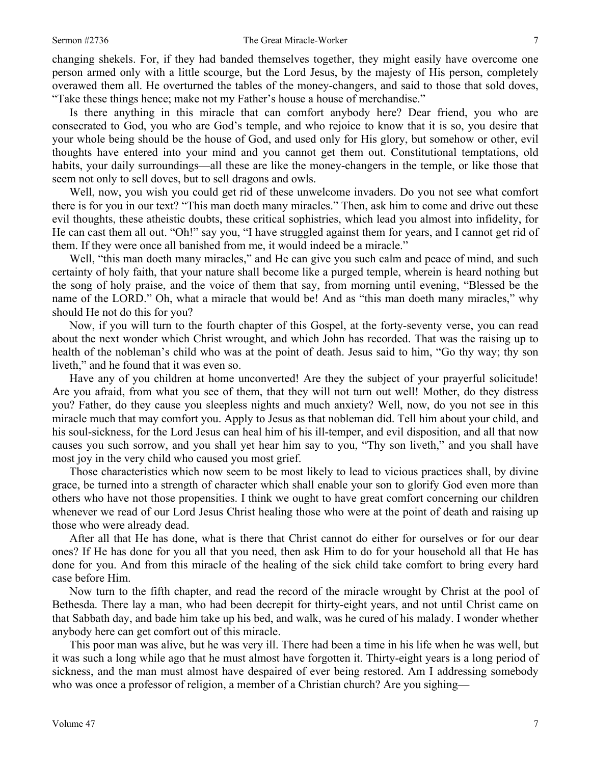#### Sermon #2736 **Sermon #2736** The Great Miracle-Worker 7

changing shekels. For, if they had banded themselves together, they might easily have overcome one person armed only with a little scourge, but the Lord Jesus, by the majesty of His person, completely overawed them all. He overturned the tables of the money-changers, and said to those that sold doves, "Take these things hence; make not my Father's house a house of merchandise."

Is there anything in this miracle that can comfort anybody here? Dear friend, you who are consecrated to God, you who are God's temple, and who rejoice to know that it is so, you desire that your whole being should be the house of God, and used only for His glory, but somehow or other, evil thoughts have entered into your mind and you cannot get them out. Constitutional temptations, old habits, your daily surroundings—all these are like the money-changers in the temple, or like those that seem not only to sell doves, but to sell dragons and owls.

Well, now, you wish you could get rid of these unwelcome invaders. Do you not see what comfort there is for you in our text? "This man doeth many miracles." Then, ask him to come and drive out these evil thoughts, these atheistic doubts, these critical sophistries, which lead you almost into infidelity, for He can cast them all out. "Oh!" say you, "I have struggled against them for years, and I cannot get rid of them. If they were once all banished from me, it would indeed be a miracle."

Well, "this man doeth many miracles," and He can give you such calm and peace of mind, and such certainty of holy faith, that your nature shall become like a purged temple, wherein is heard nothing but the song of holy praise, and the voice of them that say, from morning until evening, "Blessed be the name of the LORD." Oh, what a miracle that would be! And as "this man doeth many miracles," why should He not do this for you?

Now, if you will turn to the fourth chapter of this Gospel, at the forty-seventy verse, you can read about the next wonder which Christ wrought, and which John has recorded. That was the raising up to health of the nobleman's child who was at the point of death. Jesus said to him, "Go thy way; thy son liveth," and he found that it was even so.

Have any of you children at home unconverted! Are they the subject of your prayerful solicitude! Are you afraid, from what you see of them, that they will not turn out well! Mother, do they distress you? Father, do they cause you sleepless nights and much anxiety? Well, now, do you not see in this miracle much that may comfort you. Apply to Jesus as that nobleman did. Tell him about your child, and his soul-sickness, for the Lord Jesus can heal him of his ill-temper, and evil disposition, and all that now causes you such sorrow, and you shall yet hear him say to you, "Thy son liveth," and you shall have most joy in the very child who caused you most grief.

Those characteristics which now seem to be most likely to lead to vicious practices shall, by divine grace, be turned into a strength of character which shall enable your son to glorify God even more than others who have not those propensities. I think we ought to have great comfort concerning our children whenever we read of our Lord Jesus Christ healing those who were at the point of death and raising up those who were already dead.

After all that He has done, what is there that Christ cannot do either for ourselves or for our dear ones? If He has done for you all that you need, then ask Him to do for your household all that He has done for you. And from this miracle of the healing of the sick child take comfort to bring every hard case before Him.

Now turn to the fifth chapter, and read the record of the miracle wrought by Christ at the pool of Bethesda. There lay a man, who had been decrepit for thirty-eight years, and not until Christ came on that Sabbath day, and bade him take up his bed, and walk, was he cured of his malady. I wonder whether anybody here can get comfort out of this miracle.

This poor man was alive, but he was very ill. There had been a time in his life when he was well, but it was such a long while ago that he must almost have forgotten it. Thirty-eight years is a long period of sickness, and the man must almost have despaired of ever being restored. Am I addressing somebody who was once a professor of religion, a member of a Christian church? Are you sighing—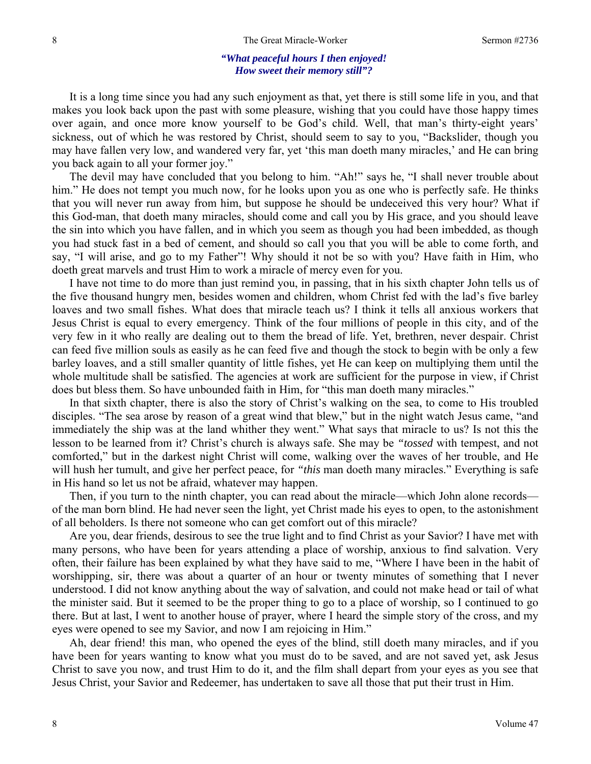### *"What peaceful hours I then enjoyed! How sweet their memory still"?*

It is a long time since you had any such enjoyment as that, yet there is still some life in you, and that makes you look back upon the past with some pleasure, wishing that you could have those happy times over again, and once more know yourself to be God's child. Well, that man's thirty-eight years' sickness, out of which he was restored by Christ, should seem to say to you, "Backslider, though you may have fallen very low, and wandered very far, yet 'this man doeth many miracles,' and He can bring you back again to all your former joy."

The devil may have concluded that you belong to him. "Ah!" says he, "I shall never trouble about him." He does not tempt you much now, for he looks upon you as one who is perfectly safe. He thinks that you will never run away from him, but suppose he should be undeceived this very hour? What if this God-man, that doeth many miracles, should come and call you by His grace, and you should leave the sin into which you have fallen, and in which you seem as though you had been imbedded, as though you had stuck fast in a bed of cement, and should so call you that you will be able to come forth, and say, "I will arise, and go to my Father"! Why should it not be so with you? Have faith in Him, who doeth great marvels and trust Him to work a miracle of mercy even for you.

I have not time to do more than just remind you, in passing, that in his sixth chapter John tells us of the five thousand hungry men, besides women and children, whom Christ fed with the lad's five barley loaves and two small fishes. What does that miracle teach us? I think it tells all anxious workers that Jesus Christ is equal to every emergency. Think of the four millions of people in this city, and of the very few in it who really are dealing out to them the bread of life. Yet, brethren, never despair. Christ can feed five million souls as easily as he can feed five and though the stock to begin with be only a few barley loaves, and a still smaller quantity of little fishes, yet He can keep on multiplying them until the whole multitude shall be satisfied. The agencies at work are sufficient for the purpose in view, if Christ does but bless them. So have unbounded faith in Him, for "this man doeth many miracles."

In that sixth chapter, there is also the story of Christ's walking on the sea, to come to His troubled disciples. "The sea arose by reason of a great wind that blew," but in the night watch Jesus came, "and immediately the ship was at the land whither they went." What says that miracle to us? Is not this the lesson to be learned from it? Christ's church is always safe. She may be *"tossed* with tempest, and not comforted," but in the darkest night Christ will come, walking over the waves of her trouble, and He will hush her tumult, and give her perfect peace, for *"this* man doeth many miracles." Everything is safe in His hand so let us not be afraid, whatever may happen.

Then, if you turn to the ninth chapter, you can read about the miracle—which John alone records of the man born blind. He had never seen the light, yet Christ made his eyes to open, to the astonishment of all beholders. Is there not someone who can get comfort out of this miracle?

Are you, dear friends, desirous to see the true light and to find Christ as your Savior? I have met with many persons, who have been for years attending a place of worship, anxious to find salvation. Very often, their failure has been explained by what they have said to me, "Where I have been in the habit of worshipping, sir, there was about a quarter of an hour or twenty minutes of something that I never understood. I did not know anything about the way of salvation, and could not make head or tail of what the minister said. But it seemed to be the proper thing to go to a place of worship, so I continued to go there. But at last, I went to another house of prayer, where I heard the simple story of the cross, and my eyes were opened to see my Savior, and now I am rejoicing in Him."

Ah, dear friend! this man, who opened the eyes of the blind, still doeth many miracles, and if you have been for years wanting to know what you must do to be saved, and are not saved yet, ask Jesus Christ to save you now, and trust Him to do it, and the film shall depart from your eyes as you see that Jesus Christ, your Savior and Redeemer, has undertaken to save all those that put their trust in Him.